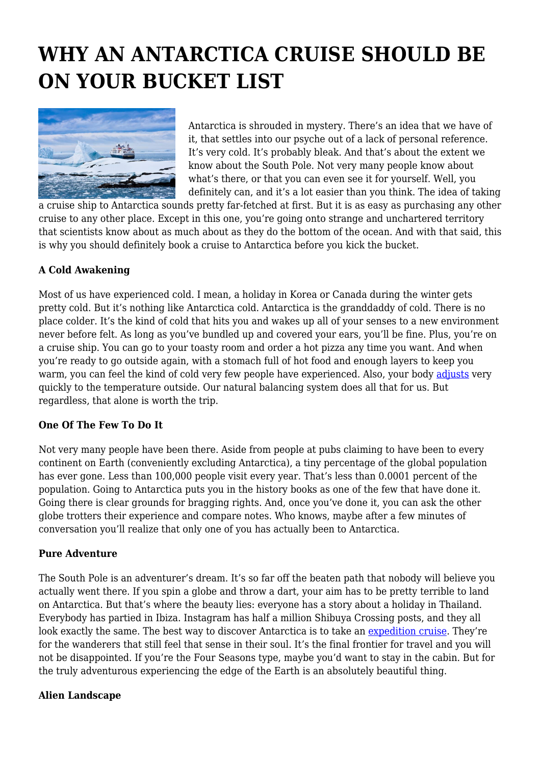# **WHY AN ANTARCTICA CRUISE SHOULD BE ON YOUR BUCKET LIST**



Antarctica is shrouded in mystery. There's an idea that we have of it, that settles into our psyche out of a lack of personal reference. It's very cold. It's probably bleak. And that's about the extent we know about the South Pole. Not very many people know about what's there, or that you can even see it for yourself. Well, you definitely can, and it's a lot easier than you think. The idea of taking

a cruise ship to Antarctica sounds pretty far-fetched at first. But it is as easy as purchasing any other cruise to any other place. Except in this one, you're going onto strange and unchartered territory that scientists know about as much about as they do the bottom of the ocean. And with that said, this is why you should definitely book a cruise to Antarctica before you kick the bucket.

## **A Cold Awakening**

Most of us have experienced cold. I mean, a holiday in Korea or Canada during the winter gets pretty cold. But it's nothing like Antarctica cold. Antarctica is the granddaddy of cold. There is no place colder. It's the kind of cold that hits you and wakes up all of your senses to a new environment never before felt. As long as you've bundled up and covered your ears, you'll be fine. Plus, you're on a cruise ship. You can go to your toasty room and order a hot pizza any time you want. And when you're ready to go outside again, with a stomach full of hot food and enough layers to keep you warm, you can feel the kind of cold very few people have experienced. Also, your body [adjusts](https://time.com/5712904/adjust-to-cold-weather/) very quickly to the temperature outside. Our natural balancing system does all that for us. But regardless, that alone is worth the trip.

#### **One Of The Few To Do It**

Not very many people have been there. Aside from people at pubs claiming to have been to every continent on Earth (conveniently excluding Antarctica), a tiny percentage of the global population has ever gone. Less than 100,000 people visit every year. That's less than 0.0001 percent of the population. Going to Antarctica puts you in the history books as one of the few that have done it. Going there is clear grounds for bragging rights. And, once you've done it, you can ask the other globe trotters their experience and compare notes. Who knows, maybe after a few minutes of conversation you'll realize that only one of you has actually been to Antarctica.

#### **Pure Adventure**

The South Pole is an adventurer's dream. It's so far off the beaten path that nobody will believe you actually went there. If you spin a globe and throw a dart, your aim has to be pretty terrible to land on Antarctica. But that's where the beauty lies: everyone has a story about a holiday in Thailand. Everybody has partied in Ibiza. Instagram has half a million Shibuya Crossing posts, and they all look exactly the same. The best way to discover Antarctica is to take an [expedition cruise.](https://www.chimuadventures.com/en-au/antarctica) They're for the wanderers that still feel that sense in their soul. It's the final frontier for travel and you will not be disappointed. If you're the Four Seasons type, maybe you'd want to stay in the cabin. But for the truly adventurous experiencing the edge of the Earth is an absolutely beautiful thing.

#### **Alien Landscape**